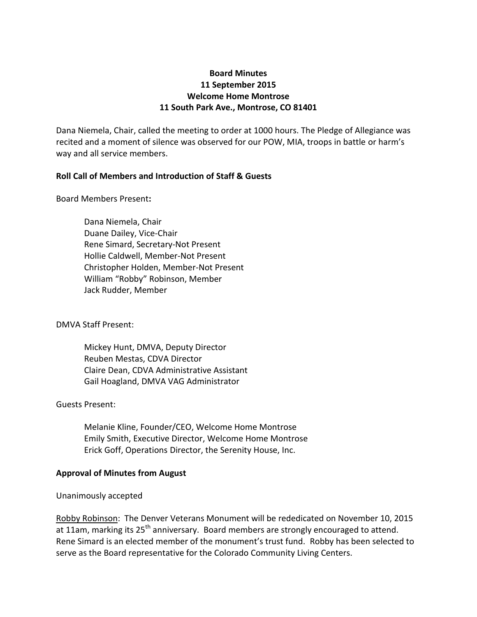# **Board Minutes 11 September 2015 Welcome Home Montrose 11 South Park Ave., Montrose, CO 81401**

Dana Niemela, Chair, called the meeting to order at 1000 hours. The Pledge of Allegiance was recited and a moment of silence was observed for our POW, MIA, troops in battle or harm's way and all service members.

## **Roll Call of Members and Introduction of Staff & Guests**

Board Members Present**:**

Dana Niemela, Chair Duane Dailey, Vice-Chair Rene Simard, Secretary-Not Present Hollie Caldwell, Member-Not Present Christopher Holden, Member-Not Present William "Robby" Robinson, Member Jack Rudder, Member

## DMVA Staff Present:

Mickey Hunt, DMVA, Deputy Director Reuben Mestas, CDVA Director Claire Dean, CDVA Administrative Assistant Gail Hoagland, DMVA VAG Administrator

### Guests Present:

Melanie Kline, Founder/CEO, Welcome Home Montrose Emily Smith, Executive Director, Welcome Home Montrose Erick Goff, Operations Director, the Serenity House, Inc.

### **Approval of Minutes from August**

### Unanimously accepted

Robby Robinson: The Denver Veterans Monument will be rededicated on November 10, 2015 at 11am, marking its 25<sup>th</sup> anniversary. Board members are strongly encouraged to attend. Rene Simard is an elected member of the monument's trust fund. Robby has been selected to serve as the Board representative for the Colorado Community Living Centers.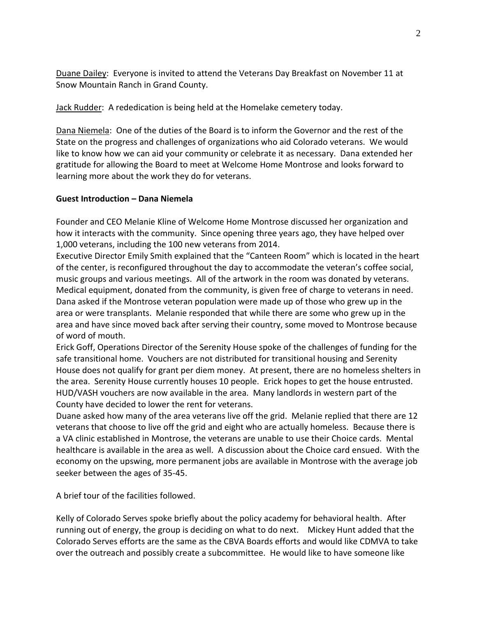Duane Dailey: Everyone is invited to attend the Veterans Day Breakfast on November 11 at Snow Mountain Ranch in Grand County.

Jack Rudder: A rededication is being held at the Homelake cemetery today.

Dana Niemela: One of the duties of the Board is to inform the Governor and the rest of the State on the progress and challenges of organizations who aid Colorado veterans. We would like to know how we can aid your community or celebrate it as necessary. Dana extended her gratitude for allowing the Board to meet at Welcome Home Montrose and looks forward to learning more about the work they do for veterans.

## **Guest Introduction – Dana Niemela**

Founder and CEO Melanie Kline of Welcome Home Montrose discussed her organization and how it interacts with the community. Since opening three years ago, they have helped over 1,000 veterans, including the 100 new veterans from 2014.

Executive Director Emily Smith explained that the "Canteen Room" which is located in the heart of the center, is reconfigured throughout the day to accommodate the veteran's coffee social, music groups and various meetings. All of the artwork in the room was donated by veterans. Medical equipment, donated from the community, is given free of charge to veterans in need. Dana asked if the Montrose veteran population were made up of those who grew up in the area or were transplants. Melanie responded that while there are some who grew up in the area and have since moved back after serving their country, some moved to Montrose because of word of mouth.

Erick Goff, Operations Director of the Serenity House spoke of the challenges of funding for the safe transitional home. Vouchers are not distributed for transitional housing and Serenity House does not qualify for grant per diem money. At present, there are no homeless shelters in the area. Serenity House currently houses 10 people. Erick hopes to get the house entrusted. HUD/VASH vouchers are now available in the area. Many landlords in western part of the County have decided to lower the rent for veterans.

Duane asked how many of the area veterans live off the grid. Melanie replied that there are 12 veterans that choose to live off the grid and eight who are actually homeless. Because there is a VA clinic established in Montrose, the veterans are unable to use their Choice cards. Mental healthcare is available in the area as well. A discussion about the Choice card ensued. With the economy on the upswing, more permanent jobs are available in Montrose with the average job seeker between the ages of 35-45.

A brief tour of the facilities followed.

Kelly of Colorado Serves spoke briefly about the policy academy for behavioral health. After running out of energy, the group is deciding on what to do next. Mickey Hunt added that the Colorado Serves efforts are the same as the CBVA Boards efforts and would like CDMVA to take over the outreach and possibly create a subcommittee. He would like to have someone like